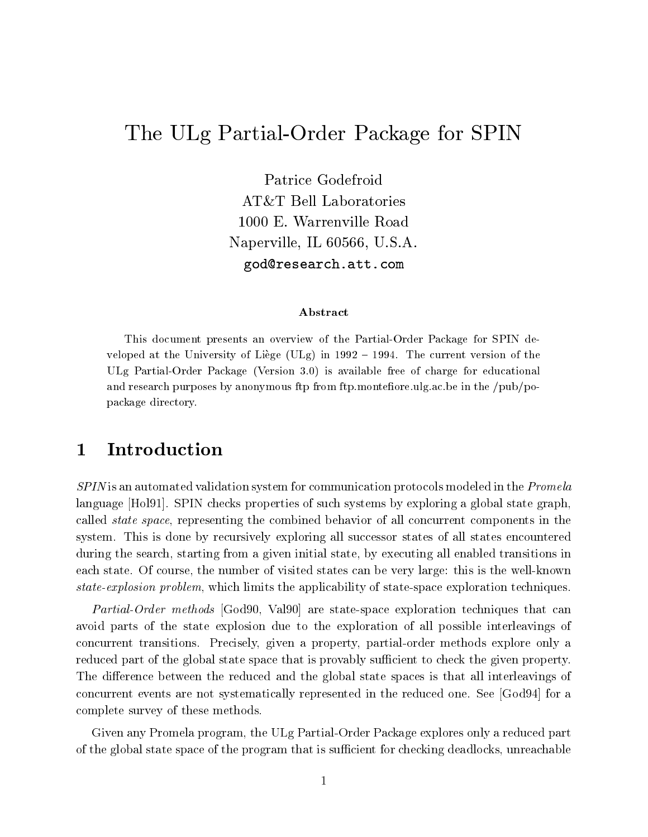# The ULG Partial-Order Partial-Order Partial-Order Partial-Order Partial-Order Partial-Order Partial-Order Partial-Order Partial-Order Partial-Order Partial-Order Partial-Order Partial-Order Partial-Order Partial-Order Part

Patrice Godefroid AT&T Bell Laboratories 1000 E. Warrenville Road Naperville, IL 60566, U.S.A. god@research.att.com

### Abstract

This document presents an overview of the Partial-Order Package for SPIN developed atthe University of Liege (ULg) in <sup>1992</sup> { 1994. The current version of the ULg Partial-Order Package (Version 3.0) is available free of charge for educational and research purposes by anonymous ftp from ftp.montefiore.ulg.ac.be in the  $/\text{pub}/\text{po}$ package directory.

#### 1Introduction

SPIN is an automated validation system for communication protocols modeled in the Promela language [Hol91]. SPIN checks properties of such systems by exploring a global state graph, called state space, representing the combined behavior of all concurrent components in the system. This is done by recursively exploring all successor states of all states encountered during the search, starting from a given initial state, by executing all enabled transitions in each state. Of course, the number of visited states can be very large: this is the well-known state-explosion problem, which limits the applicability of state-space exploration techniques.

Partial-Order methods [God90, Val90] are state-space exploration techniques that can avoid parts of the state explosion due to the exploration of all possible interleavings of concurrent transitions. Precisely, given a property, partial-order methods explore only a reduced part of the global state space that is provably sufficient to check the given property. The difference between the reduced and the global state spaces is that all interleavings of concurrent events are not systematically represented in the reduced one. See [God94] for a complete survey of these methods.

Given any Promela program, the ULg Partial-Order Package explores only a reduced part of the global state space of the program that is sufficient for checking deadlocks, unreachable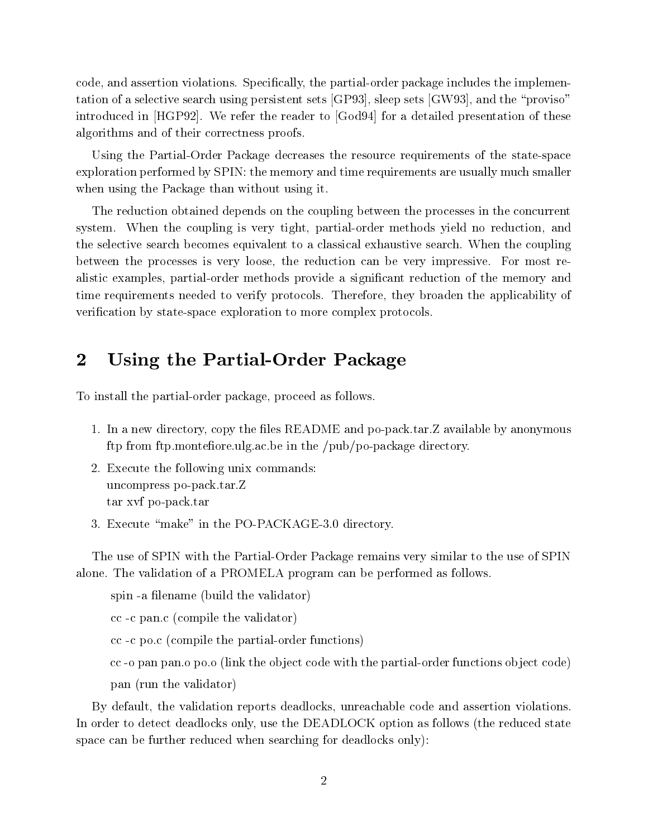code, and assertion violations. Specifically, the partial-order package includes the implementation of a selective search using persistent sets [GP93], sleep sets [GW93], and the \proviso" introduced in [HGP92]. We refer the reader to [God94] for a detailed presentation of these algorithms and of their correctness proofs.

Using the Partial-Order Package decreases the resource requirements of the state-space exploration performed by SPIN: the memory and time requirements are usually much smaller when using the Package than without using it.

The reduction obtained depends on the coupling between the processes in the concurrent system. When the coupling is very tight, partial-order methods yield no reduction, and the selective search becomes equivalent to a classical exhaustive search. When the coupling between the processes is very loose, the reduction can be very impressive. For most realistic examples, partial-order methods provide a signicant reduction of the memory and time requirements needed to verify protocols. Therefore, they broaden the applicability of verification by state-space exploration to more complex protocols.

#### 2Using the Partial-Order Package

To install the partial-order package, proceed as follows.

- 1. In a new directory, copy the files README and po-pack.tar. Z available by anonymous ftp from ftp.montefiore.ulg.ac.be in the  $/\text{pub}/\text{po-package directory}$ .
- 2. Execute the following unix commands: uncompress po-pack.tar.Z tar xvf po-pack.tar
- 3. Execute "make" in the PO-PACKAGE-3.0 directory.

The use of SPIN with the Partial-Order Package remains very similar to the use of SPIN alone. The validation of a PROMELA program can be performed as follows.

spin -a filename (build the validator)

cc -c pan.c (compile the validator)

cc -c po.c (compile the partial-order functions)

cc -o pan pan.o po.o (link the ob ject code with the partial-order functions object code) pan (run the validator)

By default, the validation reports deadlocks, unreachable code and assertion violations. In order to detect deadlocks only, use the DEADLOCK option as follows (the reduced state space can be further reduced when searching for deadlocks only):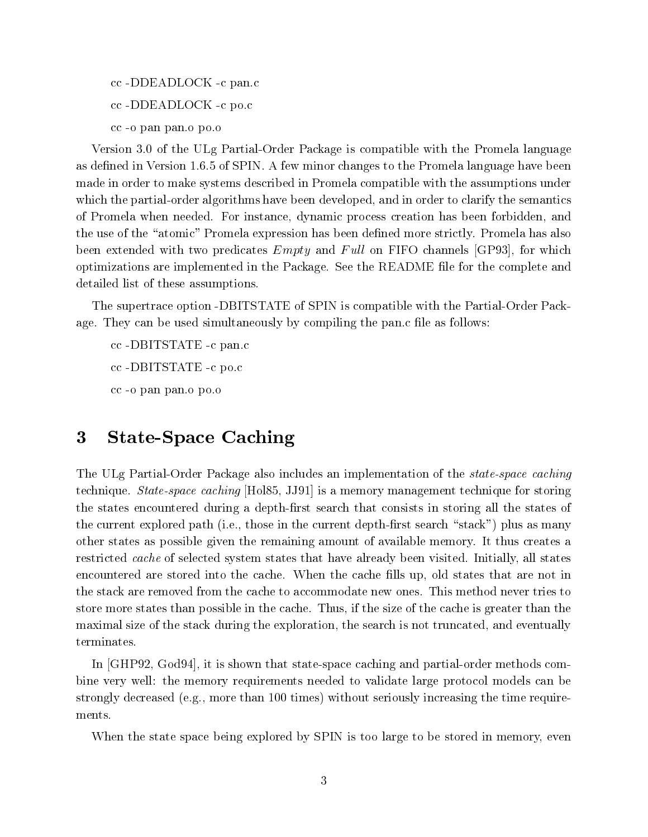cc -DDEADLOCK -c pan.c cc -DDEADLOCK -c po.c cc -o pan pan.o po.o

Version 3.0 of the ULg Partial-Order Package is compatible with the Promela language as defined in Version 1.6.5 of SPIN. A few minor changes to the Promela language have been made in order to make systems described in Promela compatible with the assumptions under which the partial-order algorithms have been developed, and in order to clarify the semantics of Promela when needed. For instance, dynamic process creation has been forbidden, and the use of the "atomic" Promela expression has been defined more strictly. Promela has also been extended with two predicates  $Empty$  and  $Full$  on FIFO channels [GP93], for which optimizations are implemented in the Package. See the README le for the complete and detailed list of these assumptions.

The supertrace option -DBITSTATE of SPIN is compatible with the Partial-Order Package. They can be used simultaneously by compiling the pan.c file as follows:

cc -DBITSTATE -c pan.c cc -DBITSTATE -c po.c cc -o pan pan.o po.o

#### State-Space Caching 3

The ULg Partial-Order Package also includes an implementation of the state-space caching technique. State-space caching [Hol85, JJ91] is a memory management technique for storing the states encountered during a depth-first search that consists in storing all the states of the current explored path (i.e., those in the current depth-first search "stack") plus as many other states as possible given the remaining amount of available memory. It thus creates a restricted cache of selected system states that have already been visited. Initially, all states encountered are stored into the cache. When the cache fills up, old states that are not in the stack are removed from the cache to accommodate new ones. This method never tries to store more states than possible in the cache. Thus, if the size of the cache is greater than the maximal size of the stack during the exploration, the search is not truncated, and eventually terminates.

In [GHP92, God94], it is shown that state-space caching and partial-order methods combine very well: the memory requirements needed to validate large protocol models can be strongly decreased (e.g., more than 100 times) without seriously increasing the time requirements.

When the state space being explored by SPIN is too large to be stored in memory, even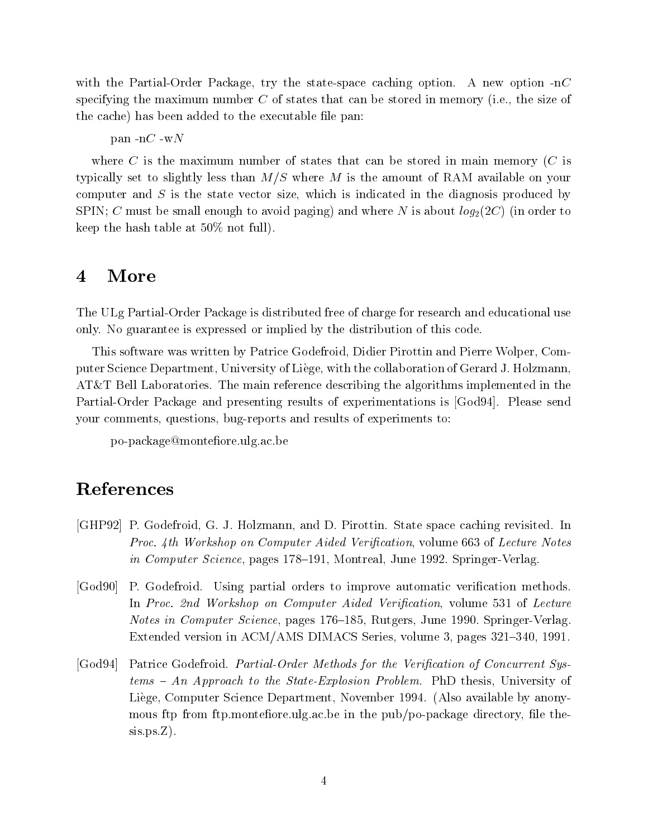with the Partial-Order Package, try the state-space caching option. A new option  $\text{-n}C$ specifying the maximum number  $C$  of states that can be stored in memory (i.e., the size of the cache) has been added to the executable file pan:

pan  $-nC$  -w $N$ 

where C is the maximum number of states that can be stored in main memory  $(C$  is typically set to slightly less than  $M/S$  where M is the amount of RAM available on your computer and  $S$  is the state vector size, which is indicated in the diagnosis produced by SPIN; C must be small enough to avoid paging) and where N is about  $log_2(2C)$  (in order to keep the hash table at 50% not full).

#### 4More

The ULg Partial-Order Package is distributed free of charge for research and educational use only. No guarantee is expressed or implied by the distribution of this code.

This software was written by Patrice Godefroid, Didier Pirottin and Pierre Wolper, Computer Science Department, University of Liege, with the collaboration of Gerard J. Holzmann, AT&T Bell Laboratories. The main reference describing the algorithms implemented in the Partial-Order Package and presenting results of experimentations is [God94]. Please send your comments, questions, bug-reports and results of experiments to:

po-package@montefiore.ulg.ac.be

## References

- [GHP92] P. Godefroid, G. J. Holzmann, and D. Pirottin. State space caching revisited. In Proc. 4th Workshop on Computer Aided Verification, volume 663 of Lecture Notes in Computer Science, pages 178-191, Montreal, June 1992. Springer-Verlag.
- [God90] P. Godefroid. Using partial orders to improve automatic verification methods. In Proc. 2nd Workshop on Computer Aided Verification, volume 531 of Lecture Notes in Computer Science, pages 176–185, Rutgers, June 1990. Springer-Verlag. Extended version in ACM/AMS DIMACS Series, volume 3, pages 321–340, 1991.
- [God94] Patrice Godefroid. *Partial-Order Methods for the Verification of Concurrent Sys* $tems - An Approach to the State-Explosion Problem$ . PhD thesis, University of Liege, Computer Science Department, November 1994. (Also available by anonymous ftp from ftp.montefiore.ulg.ac.be in the pub/po-package directory, file thesis.ps.Z).